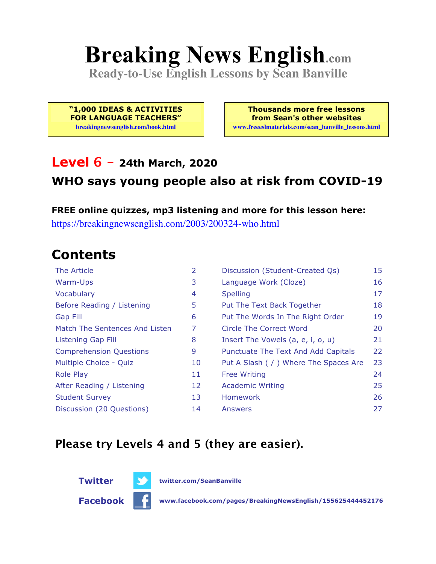# **Breaking News English.com**

**Ready-to-Use English Lessons by Sean Banville**

**"1,000 IDEAS & ACTIVITIES FOR LANGUAGE TEACHERS" breakingnewsenglish.com/book.html**

**Thousands more free lessons from Sean's other websites www.freeeslmaterials.com/sean\_banville\_lessons.html**

#### **Level 6 - 24th March, 2020**

#### **WHO says young people also at risk from COVID-19**

**FREE online quizzes, mp3 listening and more for this lesson here:** https://breakingnewsenglish.com/2003/200324-who.html

### **Contents**

| The Article                    | 2  | Discussion (Student-Created Qs)        | 15 |
|--------------------------------|----|----------------------------------------|----|
| Warm-Ups                       | 3  | Language Work (Cloze)                  | 16 |
| Vocabulary                     | 4  | <b>Spelling</b>                        | 17 |
| Before Reading / Listening     | 5  | Put The Text Back Together             | 18 |
| <b>Gap Fill</b>                | 6  | Put The Words In The Right Order       | 19 |
| Match The Sentences And Listen | 7  | Circle The Correct Word                | 20 |
| Listening Gap Fill             | 8  | Insert The Vowels (a, e, i, o, u)      | 21 |
| <b>Comprehension Questions</b> | 9  | Punctuate The Text And Add Capitals    | 22 |
| Multiple Choice - Quiz         | 10 | Put A Slash ( / ) Where The Spaces Are | 23 |
| <b>Role Play</b>               | 11 | <b>Free Writing</b>                    | 24 |
| After Reading / Listening      | 12 | <b>Academic Writing</b>                | 25 |
| <b>Student Survey</b>          | 13 | Homework                               | 26 |
| Discussion (20 Questions)      | 14 | Answers                                | 27 |

#### **Please try Levels 4 and 5 (they are easier).**

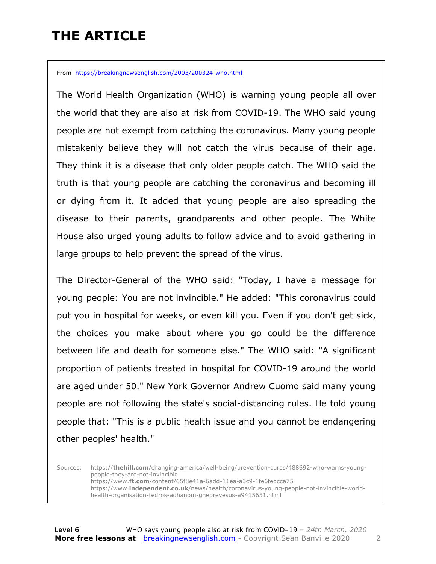### **THE ARTICLE**

From https://breakingnewsenglish.com/2003/200324-who.html

The World Health Organization (WHO) is warning young people all over the world that they are also at risk from COVID-19. The WHO said young people are not exempt from catching the coronavirus. Many young people mistakenly believe they will not catch the virus because of their age. They think it is a disease that only older people catch. The WHO said the truth is that young people are catching the coronavirus and becoming ill or dying from it. It added that young people are also spreading the disease to their parents, grandparents and other people. The White House also urged young adults to follow advice and to avoid gathering in large groups to help prevent the spread of the virus.

The Director-General of the WHO said: "Today, I have a message for young people: You are not invincible." He added: "This coronavirus could put you in hospital for weeks, or even kill you. Even if you don't get sick, the choices you make about where you go could be the difference between life and death for someone else." The WHO said: "A significant proportion of patients treated in hospital for COVID-19 around the world are aged under 50." New York Governor Andrew Cuomo said many young people are not following the state's social-distancing rules. He told young people that: "This is a public health issue and you cannot be endangering other peoples' health."

Sources: https://**thehill.com**/changing-america/well-being/prevention-cures/488692-who-warns-youngpeople-they-are-not-invincible https://www.**ft.com**/content/65f8e41a-6add-11ea-a3c9-1fe6fedcca75 https://www.**independent.co.uk**/news/health/coronavirus-young-people-not-invincible-worldhealth-organisation-tedros-adhanom-ghebreyesus-a9415651.html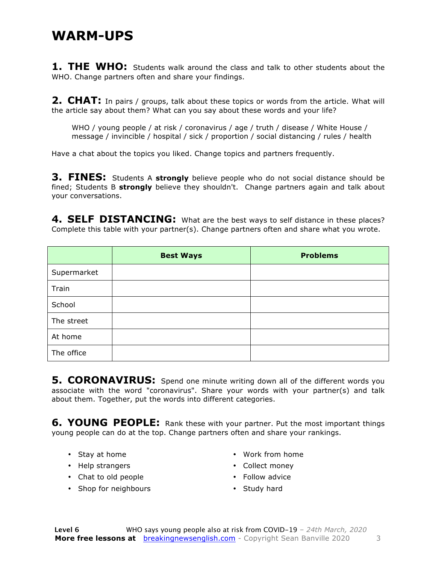#### **WARM-UPS**

**1. THE WHO:** Students walk around the class and talk to other students about the WHO. Change partners often and share your findings.

**2. CHAT:** In pairs / groups, talk about these topics or words from the article. What will the article say about them? What can you say about these words and your life?

WHO / young people / at risk / coronavirus / age / truth / disease / White House / message / invincible / hospital / sick / proportion / social distancing / rules / health

Have a chat about the topics you liked. Change topics and partners frequently.

**3. FINES:** Students A **strongly** believe people who do not social distance should be fined; Students B **strongly** believe they shouldn't. Change partners again and talk about your conversations.

4. SELF DISTANCING: What are the best ways to self distance in these places? Complete this table with your partner(s). Change partners often and share what you wrote.

|             | <b>Best Ways</b> | <b>Problems</b> |
|-------------|------------------|-----------------|
| Supermarket |                  |                 |
| Train       |                  |                 |
| School      |                  |                 |
| The street  |                  |                 |
| At home     |                  |                 |
| The office  |                  |                 |

**5. CORONAVIRUS:** Spend one minute writing down all of the different words you associate with the word "coronavirus". Share your words with your partner(s) and talk about them. Together, put the words into different categories.

**6. YOUNG PEOPLE:** Rank these with your partner. Put the most important things young people can do at the top. Change partners often and share your rankings.

- Stay at home
- Help strangers
- Chat to old people
- Shop for neighbours
- Work from home
- Collect money
- Follow advice
- Study hard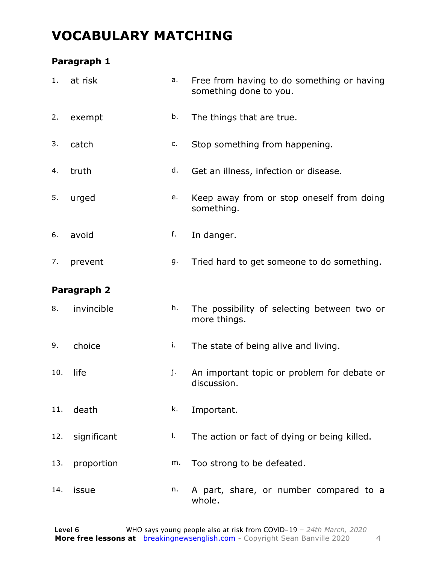### **VOCABULARY MATCHING**

#### **Paragraph 1**

| 1.  | at risk     | a. | Free from having to do something or having<br>something done to you. |
|-----|-------------|----|----------------------------------------------------------------------|
| 2.  | exempt      | b. | The things that are true.                                            |
| 3.  | catch       | c. | Stop something from happening.                                       |
| 4.  | truth       | d. | Get an illness, infection or disease.                                |
| 5.  | urged       | e. | Keep away from or stop oneself from doing<br>something.              |
| 6.  | avoid       | f. | In danger.                                                           |
| 7.  | prevent     | g. | Tried hard to get someone to do something.                           |
|     | Paragraph 2 |    |                                                                      |
| 8.  | invincible  | h. | The possibility of selecting between two or<br>more things.          |
| 9.  | choice      | i. | The state of being alive and living.                                 |
| 10. | life        | j. | An important topic or problem for debate or<br>discussion.           |
| 11. | death       | k. | Important.                                                           |
| 12. | significant | I. | The action or fact of dying or being killed.                         |
| 13. | proportion  | m. | Too strong to be defeated.                                           |
| 14. | issue       | n. | A part, share, or number compared to a<br>whole.                     |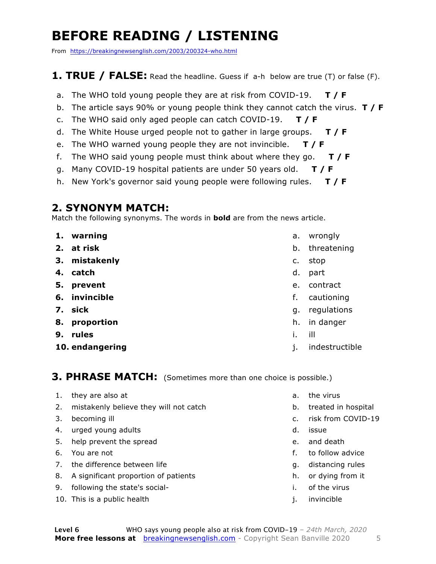### **BEFORE READING / LISTENING**

From https://breakingnewsenglish.com/2003/200324-who.html

#### **1. TRUE / FALSE:** Read the headline. Guess if a-h below are true (T) or false (F).

- a. The WHO told young people they are at risk from COVID-19. **T / F**
- b. The article says 90% or young people think they cannot catch the virus. **T / F**
- c. The WHO said only aged people can catch COVID-19. **T / F**
- d. The White House urged people not to gather in large groups. **T / F**
- e. The WHO warned young people they are not invincible. **T / F**
- f. The WHO said young people must think about where they go. **T / F**
- g. Many COVID-19 hospital patients are under 50 years old. **T / F**
- h. New York's governor said young people were following rules. **T / F**

#### **2. SYNONYM MATCH:**

Match the following synonyms. The words in **bold** are from the news article.

- **1. warning**
- **2. at risk**
- **3. mistakenly**
- **4. catch**
- **5. prevent**
- **6. invincible**
- **7. sick**
- **8. proportion**
- **9. rules**
- **10. endangering**
- a. wrongly
- b. threatening
- c. stop
- d. part
- e. contract
- f. cautioning
- g. regulations
- h. in danger
- i. ill
- j. indestructible

**3. PHRASE MATCH:** (Sometimes more than one choice is possible.)

- 1. they are also at
- 2. mistakenly believe they will not catch
- 3. becoming ill
- 4. urged young adults
- 5. help prevent the spread
- 6. You are not
- 7. the difference between life
- 8. A significant proportion of patients
- 9. following the state's social-
- 10. This is a public health
- a. the virus
- b. treated in hospital
- c. risk from COVID-19
- d. issue
- e. and death
- f. to follow advice
- g. distancing rules
- h. or dying from it
- i. of the virus
- j. invincible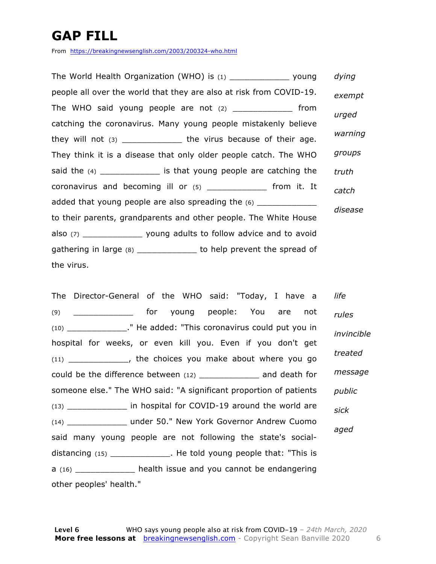### **GAP FILL**

From https://breakingnewsenglish.com/2003/200324-who.html

| The World Health Organization (WHO) is (1) __________________ young      | dying   |
|--------------------------------------------------------------------------|---------|
| people all over the world that they are also at risk from COVID-19.      | exempt  |
| The WHO said young people are not $(2)$ ______________ from              | urged   |
| catching the coronavirus. Many young people mistakenly believe           |         |
| they will not $(3)$ _________________ the virus because of their age.    | warning |
| They think it is a disease that only older people catch. The WHO         | groups  |
| said the (4) _______________ is that young people are catching the       | truth   |
| coronavirus and becoming ill or (5) ______________ from it. It           | catch   |
| added that young people are also spreading the (6) ______________        |         |
| to their parents, grandparents and other people. The White House         | disease |
| also (7) ____________________ young adults to follow advice and to avoid |         |
| gathering in large (8) ______________ to help prevent the spread of      |         |
| the virus.                                                               |         |

The Director-General of the WHO said: "Today, I have a (9) \_\_\_\_\_\_\_\_\_\_\_\_ for young people: You are not (10) \_\_\_\_\_\_\_\_\_\_\_\_." He added: "This coronavirus could put you in hospital for weeks, or even kill you. Even if you don't get (11) \_\_\_\_\_\_\_\_\_\_\_\_, the choices you make about where you go could be the difference between (12) \_\_\_\_\_\_\_\_\_\_\_\_ and death for someone else." The WHO said: "A significant proportion of patients (13) \_\_\_\_\_\_\_\_\_\_\_\_ in hospital for COVID-19 around the world are (14) \_\_\_\_\_\_\_\_\_\_\_\_ under 50." New York Governor Andrew Cuomo said many young people are not following the state's socialdistancing (15) \_\_\_\_\_\_\_\_\_\_\_\_. He told young people that: "This is a (16) \_\_\_\_\_\_\_\_\_\_\_\_ health issue and you cannot be endangering other peoples' health." *life rules invincible treated message public sick aged*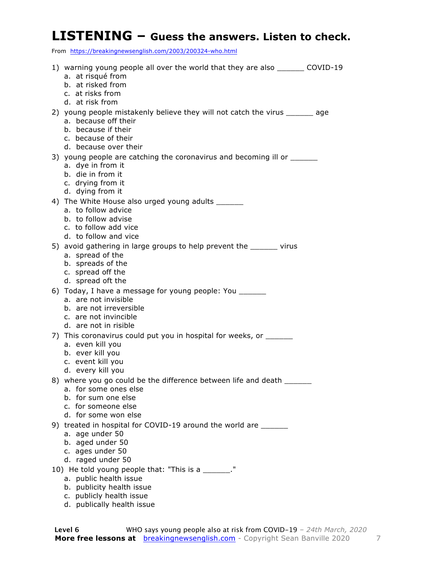#### **LISTENING – Guess the answers. Listen to check.**

From https://breakingnewsenglish.com/2003/200324-who.html

| 1) warning young people all over the world that they are also ________ COVID-19<br>a. at risqué from                                                                        |  |
|-----------------------------------------------------------------------------------------------------------------------------------------------------------------------------|--|
| b. at risked from<br>c. at risks from<br>d. at risk from                                                                                                                    |  |
| 2) young people mistakenly believe they will not catch the virus _______ age<br>a. because off their<br>b. because if their<br>c. because of their<br>d. because over their |  |
| 3) young people are catching the coronavirus and becoming ill or ________________<br>a. dye in from it<br>b. die in from it<br>c. drying from it<br>d. dying from it        |  |
| 4) The White House also urged young adults _______<br>a. to follow advice<br>b. to follow advise<br>c. to follow add vice<br>d. to follow and vice                          |  |
| 5) avoid gathering in large groups to help prevent the ______ virus<br>a. spread of the<br>b. spreads of the<br>c. spread off the<br>d. spread oft the                      |  |
| 6) Today, I have a message for young people: You ______<br>a. are not invisible<br>b. are not irreversible<br>c. are not invincible<br>d. are not in risible                |  |
| 7) This coronavirus could put you in hospital for weeks, or ______<br>a. even kill you<br>b. ever kill you<br>c. event kill you<br>d. every kill you                        |  |
| 8) where you go could be the difference between life and death _______<br>a. for some ones else<br>b. for sum one else<br>c. for someone else<br>d. for some won else       |  |
| 9) treated in hospital for COVID-19 around the world are ______<br>a. age under 50<br>b. aged under 50<br>c. ages under 50<br>d. raged under 50                             |  |
| 10) He told young people that: "This is a ______."<br>a. public health issue<br>b. publicity health issue<br>c. publicly health issue                                       |  |

d. publically health issue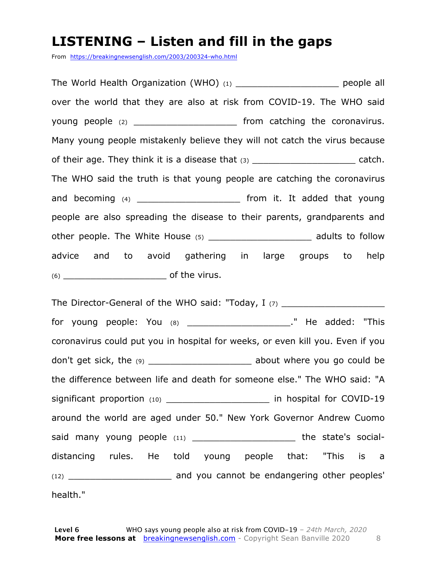#### **LISTENING – Listen and fill in the gaps**

From https://breakingnewsenglish.com/2003/200324-who.html

The World Health Organization (WHO) (1) The World Health Organization (WHO) (1) over the world that they are also at risk from COVID-19. The WHO said young people (2) contains the coronavirus. Many young people mistakenly believe they will not catch the virus because of their age. They think it is a disease that  $(3)$  \_\_\_\_\_\_\_\_\_\_\_\_\_\_\_\_\_\_\_\_\_\_\_\_\_ catch. The WHO said the truth is that young people are catching the coronavirus and becoming  $(4)$  and becoming  $(4)$ people are also spreading the disease to their parents, grandparents and other people. The White House (5) example a modults to follow advice and to avoid gathering in large groups to help  $(6)$  of the virus.

The Director-General of the WHO said: "Today,  $I$  (7)  $\frac{1}{2}$ for young people: You (8) \_\_\_\_\_\_\_\_\_\_\_\_\_\_\_\_\_\_\_\_\_\_\_\_." He added: "This coronavirus could put you in hospital for weeks, or even kill you. Even if you don't get sick, the (9) \_\_\_\_\_\_\_\_\_\_\_\_\_\_\_\_\_\_\_\_\_\_\_\_ about where you go could be the difference between life and death for someone else." The WHO said: "A significant proportion (10) \_\_\_\_\_\_\_\_\_\_\_\_\_\_\_\_\_\_\_\_\_\_\_\_ in hospital for COVID-19 around the world are aged under 50." New York Governor Andrew Cuomo said many young people (11) \_\_\_\_\_\_\_\_\_\_\_\_\_\_\_\_\_\_\_\_\_\_ the state's socialdistancing rules. He told young people that: "This is a (12) \_\_\_\_\_\_\_\_\_\_\_\_\_\_\_\_\_\_\_ and you cannot be endangering other peoples' health."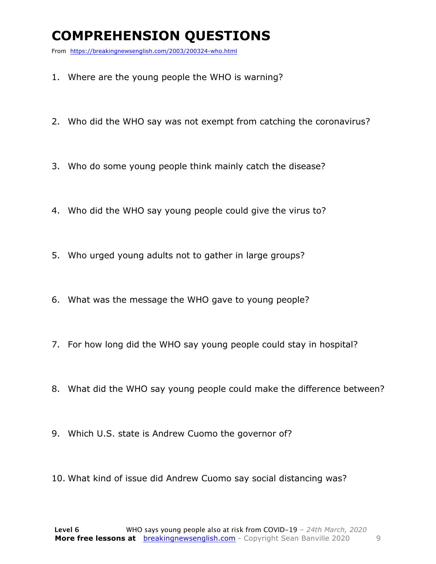### **COMPREHENSION QUESTIONS**

From https://breakingnewsenglish.com/2003/200324-who.html

- 1. Where are the young people the WHO is warning?
- 2. Who did the WHO say was not exempt from catching the coronavirus?
- 3. Who do some young people think mainly catch the disease?
- 4. Who did the WHO say young people could give the virus to?
- 5. Who urged young adults not to gather in large groups?
- 6. What was the message the WHO gave to young people?
- 7. For how long did the WHO say young people could stay in hospital?
- 8. What did the WHO say young people could make the difference between?
- 9. Which U.S. state is Andrew Cuomo the governor of?
- 10. What kind of issue did Andrew Cuomo say social distancing was?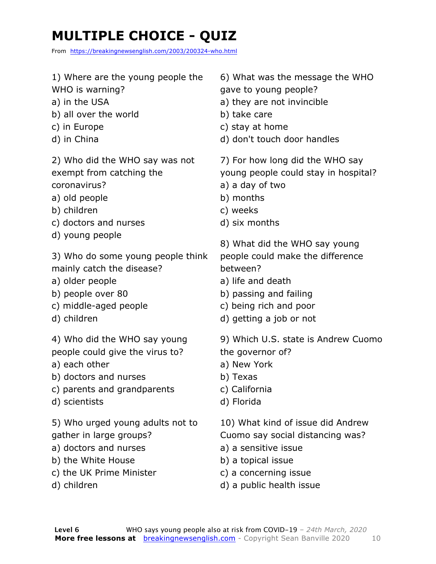### **MULTIPLE CHOICE - QUIZ**

From https://breakingnewsenglish.com/2003/200324-who.html

- 1) Where are the young people the
- WHO is warning?
- a) in the USA
- b) all over the world
- c) in Europe
- d) in China

2) Who did the WHO say was not exempt from catching the coronavirus?

- a) old people
- b) children
- 
- c) doctors and nurses
- d) young people

3) Who do some young people think mainly catch the disease?

- a) older people
- b) people over 80
- c) middle-aged people
- d) children

4) Who did the WHO say young people could give the virus to?

- a) each other
- b) doctors and nurses
- c) parents and grandparents
- d) scientists

5) Who urged young adults not to gather in large groups?

- a) doctors and nurses
- b) the White House
- c) the UK Prime Minister
- d) children
- 6) What was the message the WHO
- gave to young people?
- a) they are not invincible
- b) take care
- c) stay at home
- d) don't touch door handles

7) For how long did the WHO say young people could stay in hospital?

- a) a day of two
- b) months
- c) weeks
- d) six months
- 8) What did the WHO say young
- people could make the difference between?
- a) life and death
- b) passing and failing
- c) being rich and poor
- d) getting a job or not

9) Which U.S. state is Andrew Cuomo the governor of?

- a) New York
- b) Texas
- c) California
- d) Florida

10) What kind of issue did Andrew

Cuomo say social distancing was?

- a) a sensitive issue
- b) a topical issue
- c) a concerning issue
- d) a public health issue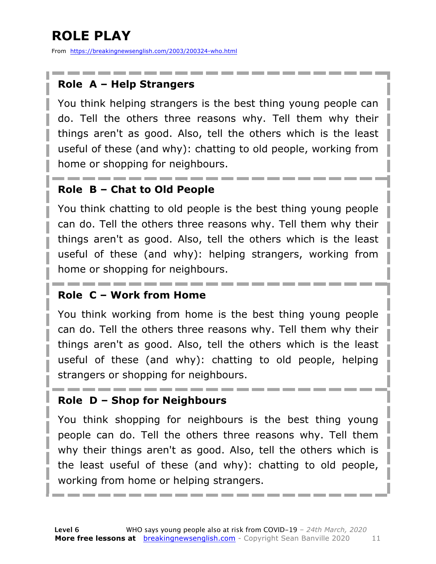## **ROLE PLAY**

From https://breakingnewsenglish.com/2003/200324-who.html

#### **Role A – Help Strangers**

You think helping strangers is the best thing young people can do. Tell the others three reasons why. Tell them why their things aren't as good. Also, tell the others which is the least useful of these (and why): chatting to old people, working from home or shopping for neighbours.

#### **Role B – Chat to Old People**

You think chatting to old people is the best thing young people can do. Tell the others three reasons why. Tell them why their things aren't as good. Also, tell the others which is the least useful of these (and why): helping strangers, working from home or shopping for neighbours.

#### **Role C – Work from Home**

You think working from home is the best thing young people can do. Tell the others three reasons why. Tell them why their things aren't as good. Also, tell the others which is the least useful of these (and why): chatting to old people, helping strangers or shopping for neighbours.

#### **Role D – Shop for Neighbours**

You think shopping for neighbours is the best thing young people can do. Tell the others three reasons why. Tell them why their things aren't as good. Also, tell the others which is the least useful of these (and why): chatting to old people, working from home or helping strangers.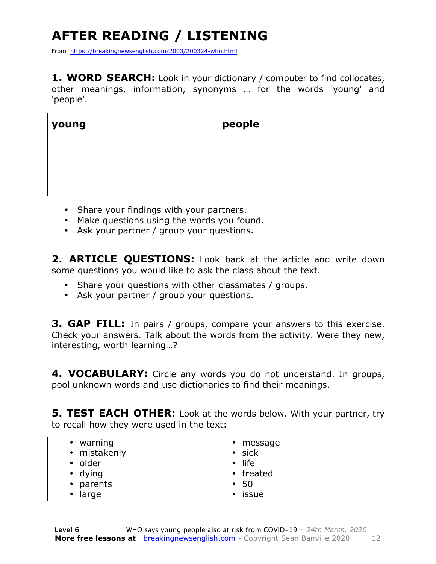## **AFTER READING / LISTENING**

From https://breakingnewsenglish.com/2003/200324-who.html

**1. WORD SEARCH:** Look in your dictionary / computer to find collocates, other meanings, information, synonyms … for the words 'young' and 'people'.

| young | people |
|-------|--------|
|       |        |
|       |        |

- Share your findings with your partners.
- Make questions using the words you found.
- Ask your partner / group your questions.

**2. ARTICLE QUESTIONS:** Look back at the article and write down some questions you would like to ask the class about the text.

- Share your questions with other classmates / groups.
- Ask your partner / group your questions.

**3. GAP FILL:** In pairs / groups, compare your answers to this exercise. Check your answers. Talk about the words from the activity. Were they new, interesting, worth learning…?

**4. VOCABULARY:** Circle any words you do not understand. In groups, pool unknown words and use dictionaries to find their meanings.

**5. TEST EACH OTHER:** Look at the words below. With your partner, try to recall how they were used in the text:

| warning<br>٠<br>• mistakenly<br>• older<br>• dying<br>parents<br>$\bullet$<br>large<br>٠ | • message<br>· sick<br>$\cdot$ life<br>• treated<br>$\cdot$ 50<br>issue<br>$\bullet$ |
|------------------------------------------------------------------------------------------|--------------------------------------------------------------------------------------|
|------------------------------------------------------------------------------------------|--------------------------------------------------------------------------------------|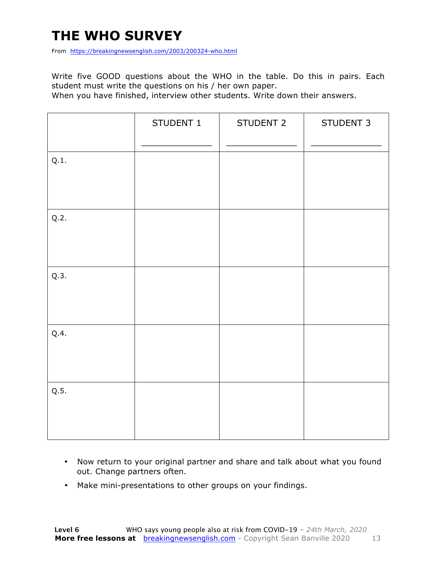### **THE WHO SURVEY**

From https://breakingnewsenglish.com/2003/200324-who.html

Write five GOOD questions about the WHO in the table. Do this in pairs. Each student must write the questions on his / her own paper.

When you have finished, interview other students. Write down their answers.

|      | STUDENT 1 | STUDENT 2 | STUDENT 3 |
|------|-----------|-----------|-----------|
| Q.1. |           |           |           |
| Q.2. |           |           |           |
| Q.3. |           |           |           |
| Q.4. |           |           |           |
| Q.5. |           |           |           |

- Now return to your original partner and share and talk about what you found out. Change partners often.
- Make mini-presentations to other groups on your findings.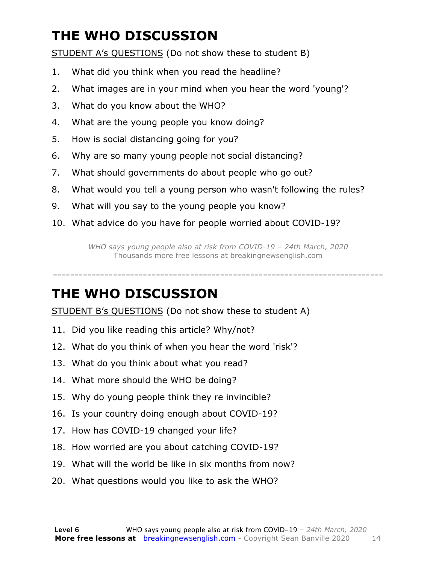### **THE WHO DISCUSSION**

STUDENT A's QUESTIONS (Do not show these to student B)

- 1. What did you think when you read the headline?
- 2. What images are in your mind when you hear the word 'young'?
- 3. What do you know about the WHO?
- 4. What are the young people you know doing?
- 5. How is social distancing going for you?
- 6. Why are so many young people not social distancing?
- 7. What should governments do about people who go out?
- 8. What would you tell a young person who wasn't following the rules?
- 9. What will you say to the young people you know?
- 10. What advice do you have for people worried about COVID-19?

*WHO says young people also at risk from COVID-19 – 24th March, 2020* Thousands more free lessons at breakingnewsenglish.com

-----------------------------------------------------------------------------

#### **THE WHO DISCUSSION**

STUDENT B's QUESTIONS (Do not show these to student A)

- 11. Did you like reading this article? Why/not?
- 12. What do you think of when you hear the word 'risk'?
- 13. What do you think about what you read?
- 14. What more should the WHO be doing?
- 15. Why do young people think they re invincible?
- 16. Is your country doing enough about COVID-19?
- 17. How has COVID-19 changed your life?
- 18. How worried are you about catching COVID-19?
- 19. What will the world be like in six months from now?
- 20. What questions would you like to ask the WHO?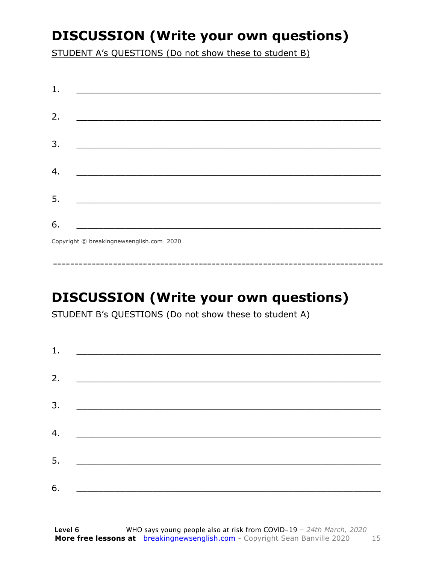### **DISCUSSION (Write your own questions)**

STUDENT A's QUESTIONS (Do not show these to student B)

| 1. |                                          |
|----|------------------------------------------|
|    |                                          |
| 2. |                                          |
|    |                                          |
| 3. |                                          |
|    |                                          |
| 4. |                                          |
|    |                                          |
| 5. |                                          |
|    |                                          |
| 6. |                                          |
|    | Copyright © breakingnewsenglish.com 2020 |

### **DISCUSSION (Write your own questions)**

STUDENT B's QUESTIONS (Do not show these to student A)

| 1. |                                                                                                                         |  |  |
|----|-------------------------------------------------------------------------------------------------------------------------|--|--|
|    |                                                                                                                         |  |  |
| 2. | <u> 1980 - Antonio Alemania, prima prestava postala de la provincia de la provincia de la provincia de la provincia</u> |  |  |
|    |                                                                                                                         |  |  |
| 3. | <u> 1980 - Andrea Andrew Maria (h. 1980).</u>                                                                           |  |  |
|    |                                                                                                                         |  |  |
| 4. | <u> 1980 - Andrea Brand, amerikansk politik (</u>                                                                       |  |  |
|    |                                                                                                                         |  |  |
| 5. |                                                                                                                         |  |  |
|    |                                                                                                                         |  |  |
| 6. |                                                                                                                         |  |  |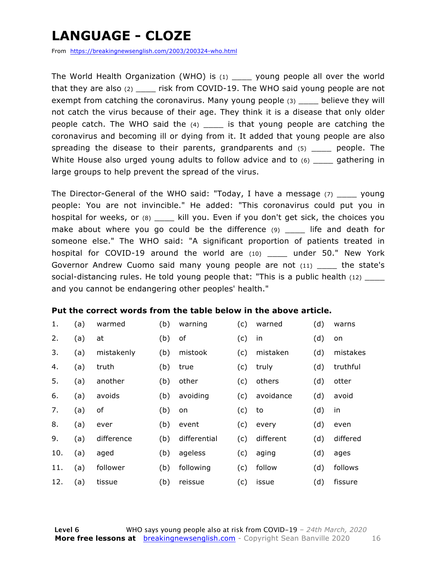### **LANGUAGE - CLOZE**

From https://breakingnewsenglish.com/2003/200324-who.html

The World Health Organization (WHO) is  $(1)$  young people all over the world that they are also (2) \_\_\_\_ risk from COVID-19. The WHO said young people are not exempt from catching the coronavirus. Many young people (3) believe they will not catch the virus because of their age. They think it is a disease that only older people catch. The WHO said the  $(4)$  \_\_\_\_ is that young people are catching the coronavirus and becoming ill or dying from it. It added that young people are also spreading the disease to their parents, grandparents and (5) \_\_\_\_ people. The White House also urged young adults to follow advice and to (6) \_\_\_\_ gathering in large groups to help prevent the spread of the virus.

The Director-General of the WHO said: "Today, I have a message (7) \_\_\_\_ young people: You are not invincible." He added: "This coronavirus could put you in hospital for weeks, or (8) \_\_\_\_ kill you. Even if you don't get sick, the choices you make about where you go could be the difference (9) \_\_\_\_ life and death for someone else." The WHO said: "A significant proportion of patients treated in hospital for COVID-19 around the world are (10) under 50." New York Governor Andrew Cuomo said many young people are not (11) \_\_\_\_\_ the state's social-distancing rules. He told young people that: "This is a public health  $(12)$ and you cannot be endangering other peoples' health."

#### **Put the correct words from the table below in the above article.**

| 1.  | (a) | warmed     | (b) | warning      | (c) | warned    | (d) | warns    |
|-----|-----|------------|-----|--------------|-----|-----------|-----|----------|
| 2.  | (a) | at         | (b) | of           | (c) | in        | (d) | on       |
| 3.  | (a) | mistakenly | (b) | mistook      | (c) | mistaken  | (d) | mistakes |
| 4.  | (a) | truth      | (b) | true         | (c) | truly     | (d) | truthful |
| 5.  | (a) | another    | (b) | other        | (c) | others    | (d) | otter    |
| 6.  | (a) | avoids     | (b) | avoiding     | (c) | avoidance | (d) | avoid    |
| 7.  | (a) | of         | (b) | on           | (c) | to        | (d) | in       |
| 8.  | (a) | ever       | (b) | event        | (c) | every     | (d) | even     |
| 9.  | (a) | difference | (b) | differential | (c) | different | (d) | differed |
| 10. | (a) | aged       | (b) | ageless      | (c) | aging     | (d) | ages     |
| 11. | (a) | follower   | (b) | following    | (c) | follow    | (d) | follows  |
| 12. | (a) | tissue     | (b) | reissue      | (c) | issue     | (d) | fissure  |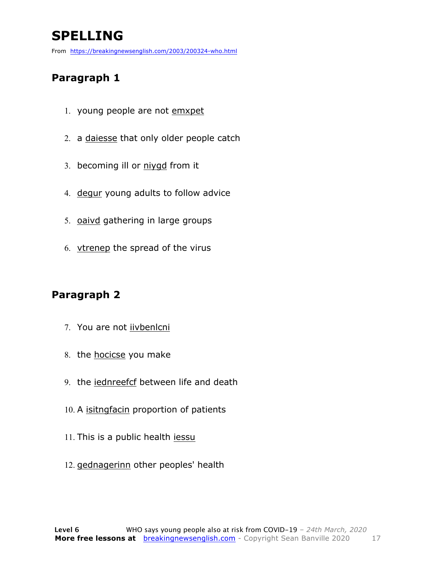### **SPELLING**

From https://breakingnewsenglish.com/2003/200324-who.html

#### **Paragraph 1**

- 1. young people are not emxpet
- 2. a daiesse that only older people catch
- 3. becoming ill or niygd from it
- 4. degur young adults to follow advice
- 5. oaivd gathering in large groups
- 6. vtrenep the spread of the virus

#### **Paragraph 2**

- 7. You are not iivbenlcni
- 8. the hocicse you make
- 9. the iednreefcf between life and death
- 10. A isitngfacin proportion of patients
- 11. This is a public health iessu
- 12. gednagerinn other peoples' health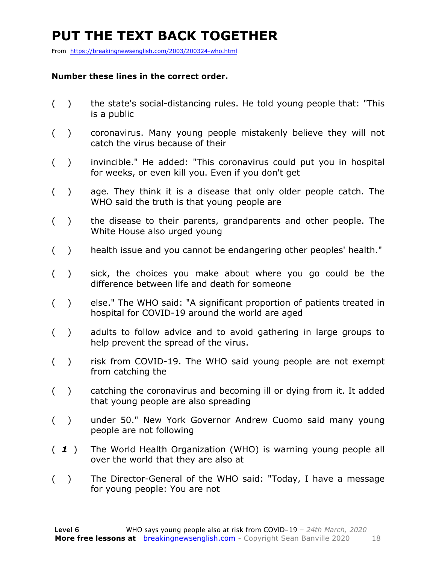### **PUT THE TEXT BACK TOGETHER**

From https://breakingnewsenglish.com/2003/200324-who.html

#### **Number these lines in the correct order.**

- ( ) the state's social-distancing rules. He told young people that: "This is a public
- ( ) coronavirus. Many young people mistakenly believe they will not catch the virus because of their
- ( ) invincible." He added: "This coronavirus could put you in hospital for weeks, or even kill you. Even if you don't get
- ( ) age. They think it is a disease that only older people catch. The WHO said the truth is that young people are
- ( ) the disease to their parents, grandparents and other people. The White House also urged young
- ( ) health issue and you cannot be endangering other peoples' health."
- ( ) sick, the choices you make about where you go could be the difference between life and death for someone
- ( ) else." The WHO said: "A significant proportion of patients treated in hospital for COVID-19 around the world are aged
- ( ) adults to follow advice and to avoid gathering in large groups to help prevent the spread of the virus.
- ( ) risk from COVID-19. The WHO said young people are not exempt from catching the
- ( ) catching the coronavirus and becoming ill or dying from it. It added that young people are also spreading
- ( ) under 50." New York Governor Andrew Cuomo said many young people are not following
- ( *1* ) The World Health Organization (WHO) is warning young people all over the world that they are also at
- ( ) The Director-General of the WHO said: "Today, I have a message for young people: You are not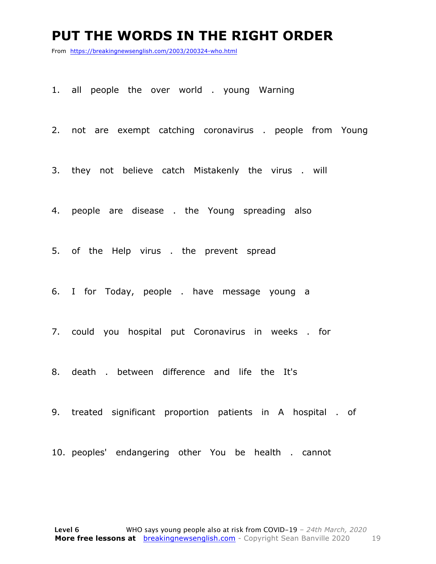#### **PUT THE WORDS IN THE RIGHT ORDER**

From https://breakingnewsenglish.com/2003/200324-who.html

1. all people the over world . young Warning

2. not are exempt catching coronavirus . people from Young

3. they not believe catch Mistakenly the virus . will

4. people are disease . the Young spreading also

5. of the Help virus . the prevent spread

6. I for Today, people . have message young a

7. could you hospital put Coronavirus in weeks . for

8. death . between difference and life the It's

9. treated significant proportion patients in A hospital . of

10. peoples' endangering other You be health . cannot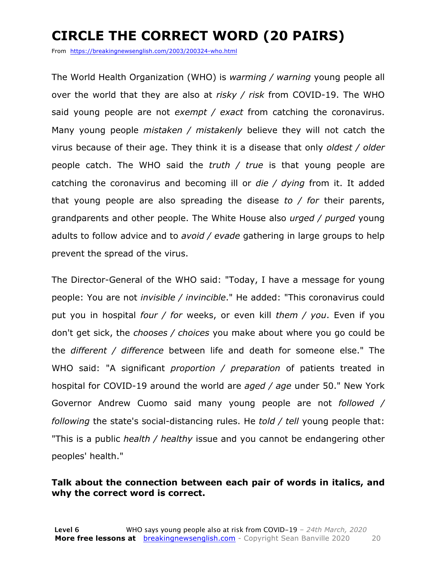### **CIRCLE THE CORRECT WORD (20 PAIRS)**

From https://breakingnewsenglish.com/2003/200324-who.html

The World Health Organization (WHO) is *warming / warning* young people all over the world that they are also at *risky / risk* from COVID-19. The WHO said young people are not *exempt / exact* from catching the coronavirus. Many young people *mistaken / mistakenly* believe they will not catch the virus because of their age. They think it is a disease that only *oldest / older* people catch. The WHO said the *truth / true* is that young people are catching the coronavirus and becoming ill or *die / dying* from it. It added that young people are also spreading the disease *to / for* their parents, grandparents and other people. The White House also *urged / purged* young adults to follow advice and to *avoid / evade* gathering in large groups to help prevent the spread of the virus.

The Director-General of the WHO said: "Today, I have a message for young people: You are not *invisible / invincible*." He added: "This coronavirus could put you in hospital *four / for* weeks, or even kill *them / you*. Even if you don't get sick, the *chooses / choices* you make about where you go could be the *different / difference* between life and death for someone else." The WHO said: "A significant *proportion / preparation* of patients treated in hospital for COVID-19 around the world are *aged / age* under 50." New York Governor Andrew Cuomo said many young people are not *followed / following* the state's social-distancing rules. He *told / tell* young people that: "This is a public *health / healthy* issue and you cannot be endangering other peoples' health."

#### **Talk about the connection between each pair of words in italics, and why the correct word is correct.**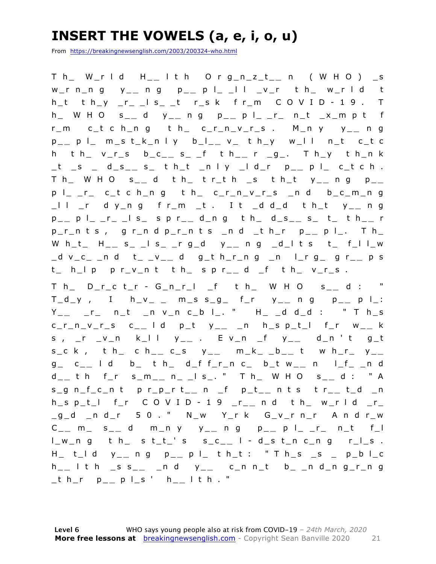### **INSERT THE VOWELS (a, e, i, o, u)**

From https://breakingnewsenglish.com/2003/200324-who.html

T h\_ W\_r l d H\_ **\_** l t h O r g\_n\_z\_t\_ **\_** n ( W H O ) \_s w\_r n\_n g y\_ **\_** n g p\_ **\_** p l\_ \_l l \_v\_r t h\_ w\_r l d t  $h_t$  t  $h_y$   $r_{-1}$   $s_{-1}$   $t$   $r_{-s}$  k f  $r_{-m}$  C O V I D - 1 9 . T h\_ W H O s\_ **\_** d y\_ **\_** n g p\_ **\_** p l\_ \_r\_ n\_t \_x\_m p t f r\_m c\_t c h\_n g t h\_ c\_r\_n\_v\_r\_s . M\_n y y\_ **\_** n g p \_ **\_** p l\_ m\_s t\_k\_n l y b\_l\_ **\_** v\_ t h\_y w\_l l n\_t c\_t c h t h\_ v\_r\_s b\_c\_ **\_** s\_ \_ f t h\_ **\_** r \_g\_. T h\_y t h\_n k \_t \_s \_ d\_s\_ **\_** s\_ t h\_t \_n l y \_l d\_r p\_ **\_** p l\_ c\_t c h . T h\_ W H O s\_ **\_** d t h\_ t r\_t h \_s t h\_t y\_ **\_** n g p\_ **\_**  p l\_ \_r\_ c\_t c h\_n g t h\_ c\_r\_n\_v\_r\_s \_n d b\_c\_m\_n g \_l l \_r d y\_n g f r\_m \_t . I t \_d d\_d t h\_t y\_ **\_** n g p \_ **\_** p l\_ \_r\_ \_l s\_ s p r\_ **\_** d\_n g t h\_ d\_s\_ **\_** s\_ t\_ t h\_ **\_** r p\_r\_n t s , g r\_n d p\_r\_n t s \_n d \_t h\_r p\_ **\_** p l\_. T h\_ W h\_t\_ H\_ **\_** s\_ \_l s\_ \_r g\_d y\_ **\_** n g \_d\_l t s t\_ f\_l l\_w \_d v\_c\_ \_n d t\_ \_v\_ **\_** d g\_t h\_r\_n g \_n l\_r g\_ g r\_ **\_** p s  $t_$  h\_l p p r\_v\_n t t h\_ s p r\_\_ d \_f t h\_ v\_r\_s .

T h\_ D\_r\_c t\_r - G\_n\_r\_l \_f t h\_ W H O s\_ **\_** d : "  $T_d_y$ , I h\_v\_ \_ m\_s s\_g\_ f\_r y\_\_ n g p\_\_ p l\_: Y \_ **\_** \_r\_ n\_t \_n v\_n c\_b l\_. " H\_ \_d d\_d : " T h\_s c\_r\_n\_v\_r\_s c\_ **\_** l d p\_t y\_ **\_** \_n h\_s p\_t\_l f\_r w\_ **\_** k s , \_r \_v\_n k\_l l y\_ **\_** . E v\_n \_f y\_ **\_** d\_n ' t g\_t  $s_c$  k, t h\_ c h\_\_ c\_s  $y_{--}$  m\_k\_ \_b\_\_ t w h\_r\_  $y_{--}$ g\_ c\_ **\_** l d b\_ t h\_ d\_f f\_r\_n c\_ b \_t w\_ **\_** n l\_f\_ \_n d d \_ **\_** t h f\_r s\_m\_ **\_** n\_ \_l s\_. " T h\_ W H O s\_ **\_** d : " A s\_g n\_f\_c\_n t p r\_p\_r t\_ **\_** n \_f p\_t\_ **\_** n t s t r\_ **\_** t\_d \_n h\_s p\_t\_l f\_r C O V I D - 1 9 \_r\_ **\_** n d t h\_ w\_r l d \_r\_ \_g\_d \_n d\_r 5 0 . " N\_w Y\_r k G\_v\_r n\_r A n d r\_w C \_ **\_** m\_ s\_ **\_** d m\_n y y\_ **\_** n g p\_ **\_** p l\_ \_r\_ n\_t f\_l l\_w\_n g t h\_ s t\_t\_' s s\_c\_ **\_** l - d\_s t\_n c\_n g r\_l\_s . H\_ t\_l d y\_ **\_** n g p\_ **\_** p l\_ t h\_t : " T h\_s \_s \_ p\_b l\_c h \_ **\_** l t h \_s s\_ **\_** \_n d y\_ **\_** c\_n n\_t b\_ \_n d\_n g\_r\_n g \_t h\_r p\_ **\_** p l\_s ' h\_ **\_** l t h . "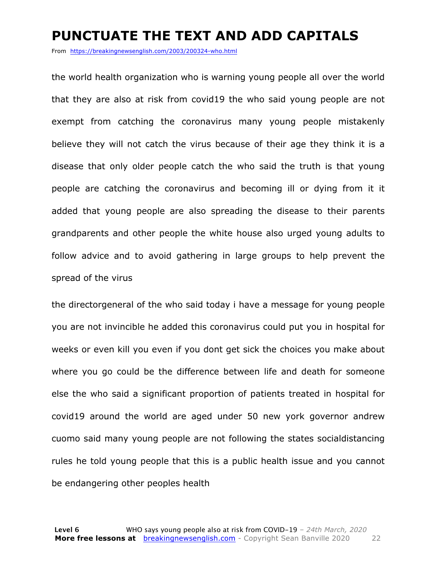#### **PUNCTUATE THE TEXT AND ADD CAPITALS**

From https://breakingnewsenglish.com/2003/200324-who.html

the world health organization who is warning young people all over the world that they are also at risk from covid19 the who said young people are not exempt from catching the coronavirus many young people mistakenly believe they will not catch the virus because of their age they think it is a disease that only older people catch the who said the truth is that young people are catching the coronavirus and becoming ill or dying from it it added that young people are also spreading the disease to their parents grandparents and other people the white house also urged young adults to follow advice and to avoid gathering in large groups to help prevent the spread of the virus

the directorgeneral of the who said today i have a message for young people you are not invincible he added this coronavirus could put you in hospital for weeks or even kill you even if you dont get sick the choices you make about where you go could be the difference between life and death for someone else the who said a significant proportion of patients treated in hospital for covid19 around the world are aged under 50 new york governor andrew cuomo said many young people are not following the states socialdistancing rules he told young people that this is a public health issue and you cannot be endangering other peoples health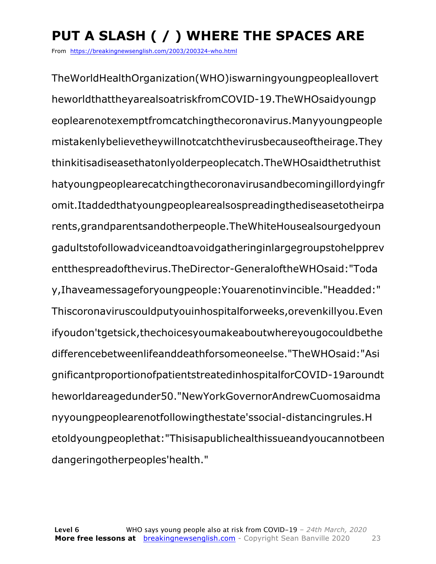## **PUT A SLASH ( / ) WHERE THE SPACES ARE**

From https://breakingnewsenglish.com/2003/200324-who.html

TheWorldHealthOrganization(WHO)iswarningyoungpeopleallovert heworldthattheyarealsoatriskfromCOVID-19.TheWHOsaidyoungp eoplearenotexemptfromcatchingthecoronavirus.Manyyoungpeople mistakenlybelievetheywillnotcatchthevirusbecauseoftheirage.They thinkitisadiseasethatonlyolderpeoplecatch.TheWHOsaidthetruthist hatyoungpeoplearecatchingthecoronavirusandbecomingillordyingfr omit.Itaddedthatyoungpeoplearealsospreadingthediseasetotheirpa rents,grandparentsandotherpeople.TheWhiteHousealsourgedyoun gadultstofollowadviceandtoavoidgatheringinlargegroupstohelpprev entthespreadofthevirus.TheDirector-GeneraloftheWHOsaid:"Toda y,Ihaveamessageforyoungpeople:Youarenotinvincible."Headded:" Thiscoronaviruscouldputyouinhospitalforweeks,orevenkillyou.Even ifyoudon'tgetsick,thechoicesyoumakeaboutwhereyougocouldbethe differencebetweenlifeanddeathforsomeoneelse."TheWHOsaid:"Asi gnificantproportionofpatientstreatedinhospitalforCOVID-19aroundt heworldareagedunder50."NewYorkGovernorAndrewCuomosaidma nyyoungpeoplearenotfollowingthestate'ssocial-distancingrules.H etoldyoungpeoplethat:"Thisisapublichealthissueandyoucannotbeen dangeringotherpeoples'health."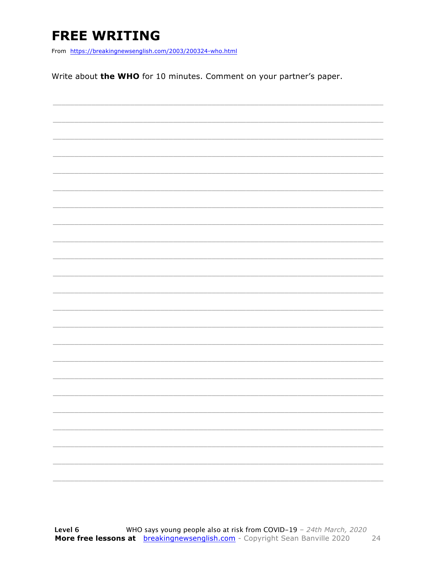### **FREE WRITING**

From https://breakingnewsenglish.com/2003/200324-who.html

Write about the WHO for 10 minutes. Comment on your partner's paper.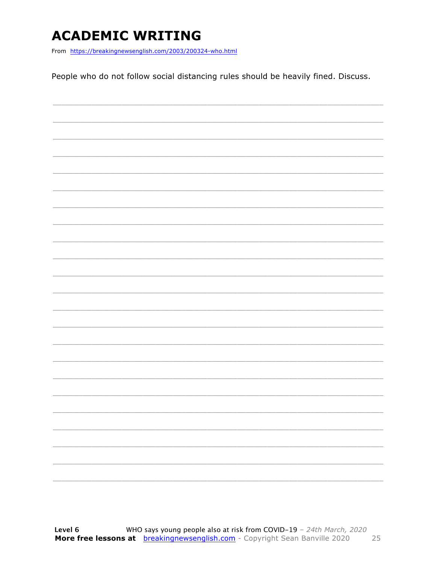### **ACADEMIC WRITING**

From https://breakingnewsenglish.com/2003/200324-who.html

People who do not follow social distancing rules should be heavily fined. Discuss.

|  |  | $\overbrace{\hspace{25mm}}^{}$ |
|--|--|--------------------------------|
|  |  |                                |
|  |  | $\overbrace{\hspace{25mm}}^{}$ |
|  |  |                                |
|  |  |                                |
|  |  |                                |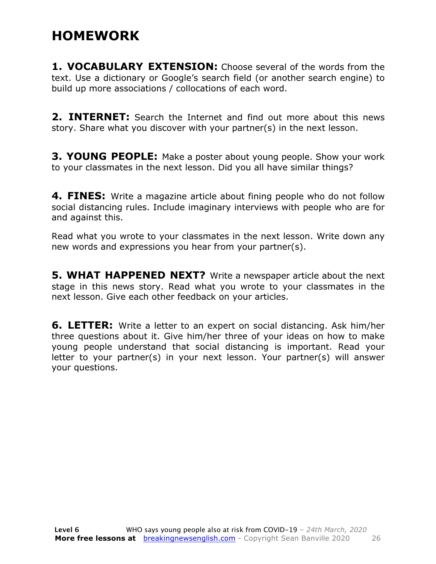### **HOMEWORK**

**1. VOCABULARY EXTENSION:** Choose several of the words from the text. Use a dictionary or Google's search field (or another search engine) to build up more associations / collocations of each word.

**2. INTERNET:** Search the Internet and find out more about this news story. Share what you discover with your partner(s) in the next lesson.

**3. YOUNG PEOPLE:** Make a poster about young people. Show your work to your classmates in the next lesson. Did you all have similar things?

**4. FINES:** Write a magazine article about fining people who do not follow social distancing rules. Include imaginary interviews with people who are for and against this.

Read what you wrote to your classmates in the next lesson. Write down any new words and expressions you hear from your partner(s).

**5. WHAT HAPPENED NEXT?** Write a newspaper article about the next stage in this news story. Read what you wrote to your classmates in the next lesson. Give each other feedback on your articles.

**6. LETTER:** Write a letter to an expert on social distancing. Ask him/her three questions about it. Give him/her three of your ideas on how to make young people understand that social distancing is important. Read your letter to your partner(s) in your next lesson. Your partner(s) will answer your questions.